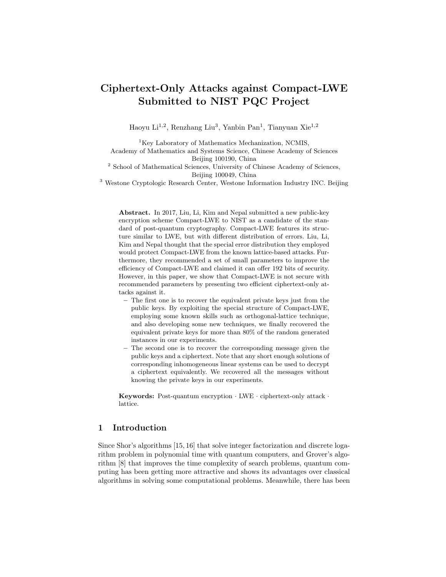# Ciphertext-Only Attacks against Compact-LWE Submitted to NIST PQC Project

Haoyu Li<sup>1,2</sup>, Renzhang Liu<sup>3</sup>, Yanbin Pan<sup>1</sup>, Tianyuan Xie<sup>1,2</sup>

<sup>1</sup>Key Laboratory of Mathematics Mechanization, NCMIS, Academy of Mathematics and Systems Science, Chinese Academy of Sciences Beijing 100190, China

<sup>2</sup> School of Mathematical Sciences, University of Chinese Academy of Sciences, Beijing 100049, China

<sup>3</sup> Westone Cryptologic Research Center, Westone Information Industry INC. Beijing

Abstract. In 2017, Liu, Li, Kim and Nepal submitted a new public-key encryption scheme Compact-LWE to NIST as a candidate of the standard of post-quantum cryptography. Compact-LWE features its structure similar to LWE, but with different distribution of errors. Liu, Li, Kim and Nepal thought that the special error distribution they employed would protect Compact-LWE from the known lattice-based attacks. Furthermore, they recommended a set of small parameters to improve the efficiency of Compact-LWE and claimed it can offer 192 bits of security. However, in this paper, we show that Compact-LWE is not secure with recommended parameters by presenting two efficient ciphertext-only attacks against it.

- The first one is to recover the equivalent private keys just from the public keys. By exploiting the special structure of Compact-LWE, employing some known skills such as orthogonal-lattice technique, and also developing some new techniques, we finally recovered the equivalent private keys for more than 80% of the random generated instances in our experiments.
- The second one is to recover the corresponding message given the public keys and a ciphertext. Note that any short enough solutions of corresponding inhomogeneous linear systems can be used to decrypt a ciphertext equivalently. We recovered all the messages without knowing the private keys in our experiments.

Keywords: Post-quantum encryption · LWE · ciphertext-only attack · lattice.

# 1 Introduction

Since Shor's algorithms [15, 16] that solve integer factorization and discrete logarithm problem in polynomial time with quantum computers, and Grover's algorithm [8] that improves the time complexity of search problems, quantum computing has been getting more attractive and shows its advantages over classical algorithms in solving some computational problems. Meanwhile, there has been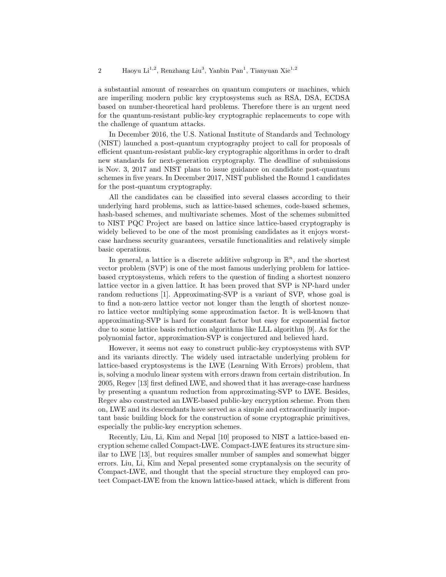a substantial amount of researches on quantum computers or machines, which are imperiling modern public key cryptosystems such as RSA, DSA, ECDSA based on number-theoretical hard problems. Therefore there is an urgent need for the quantum-resistant public-key cryptographic replacements to cope with the challenge of quantum attacks.

In December 2016, the U.S. National Institute of Standards and Technology (NIST) launched a post-quantum cryptography project to call for proposals of efficient quantum-resistant public-key cryptographic algorithms in order to draft new standards for next-generation cryptography. The deadline of submissions is Nov. 3, 2017 and NIST plans to issue guidance on candidate post-quantum schemes in five years. In December 2017, NIST published the Round 1 candidates for the post-quantum cryptography.

All the candidates can be classified into several classes according to their underlying hard problems, such as lattice-based schemes, code-based schemes, hash-based schemes, and multivariate schemes. Most of the schemes submitted to NIST PQC Project are based on lattice since lattice-based cryptography is widely believed to be one of the most promising candidates as it enjoys worstcase hardness security guarantees, versatile functionalities and relatively simple basic operations.

In general, a lattice is a discrete additive subgroup in  $\mathbb{R}^n$ , and the shortest vector problem (SVP) is one of the most famous underlying problem for latticebased cryptosystems, which refers to the question of finding a shortest nonzero lattice vector in a given lattice. It has been proved that SVP is NP-hard under random reductions [1]. Approximating-SVP is a variant of SVP, whose goal is to find a non-zero lattice vector not longer than the length of shortest nonzero lattice vector multiplying some approximation factor. It is well-known that approximating-SVP is hard for constant factor but easy for exponential factor due to some lattice basis reduction algorithms like LLL algorithm [9]. As for the polynomial factor, approximation-SVP is conjectured and believed hard.

However, it seems not easy to construct public-key cryptosystems with SVP and its variants directly. The widely used intractable underlying problem for lattice-based cryptosystems is the LWE (Learning With Errors) problem, that is, solving a modulo linear system with errors drawn from certain distribution. In 2005, Regev [13] first defined LWE, and showed that it has average-case hardness by presenting a quantum reduction from approximating-SVP to LWE. Besides, Regev also constructed an LWE-based public-key encryption scheme. From then on, LWE and its descendants have served as a simple and extraordinarily important basic building block for the construction of some cryptographic primitives, especially the public-key encryption schemes.

Recently, Liu, Li, Kim and Nepal [10] proposed to NIST a lattice-based encryption scheme called Compact-LWE. Compact-LWE features its structure similar to LWE [13], but requires smaller number of samples and somewhat bigger errors. Liu, Li, Kim and Nepal presented some cryptanalysis on the security of Compact-LWE, and thought that the special structure they employed can protect Compact-LWE from the known lattice-based attack, which is different from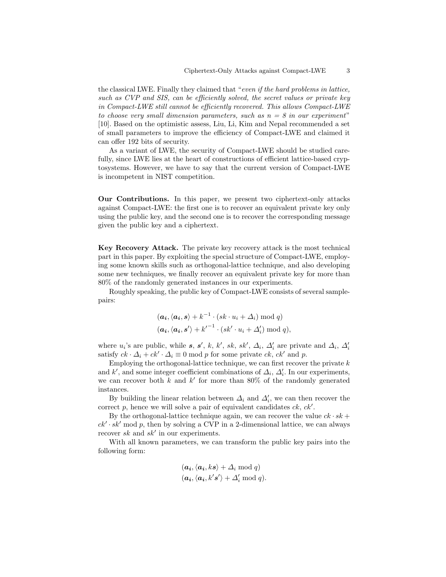the classical LWE. Finally they claimed that "even if the hard problems in lattice, such as CVP and SIS, can be efficiently solved, the secret values or private key in Compact-LWE still cannot be efficiently recovered. This allows Compact-LWE to choose very small dimension parameters, such as  $n = 8$  in our experiment" [10]. Based on the optimistic assess, Liu, Li, Kim and Nepal recommended a set of small parameters to improve the efficiency of Compact-LWE and claimed it can offer 192 bits of security.

As a variant of LWE, the security of Compact-LWE should be studied carefully, since LWE lies at the heart of constructions of efficient lattice-based cryptosystems. However, we have to say that the current version of Compact-LWE is incompetent in NIST competition.

Our Contributions. In this paper, we present two ciphertext-only attacks against Compact-LWE: the first one is to recover an equivalent private key only using the public key, and the second one is to recover the corresponding message given the public key and a ciphertext.

Key Recovery Attack. The private key recovery attack is the most technical part in this paper. By exploiting the special structure of Compact-LWE, employing some known skills such as orthogonal-lattice technique, and also developing some new techniques, we finally recover an equivalent private key for more than 80% of the randomly generated instances in our experiments.

Roughly speaking, the public key of Compact-LWE consists of several samplepairs:

$$
(\mathbf{a_i}, \langle \mathbf{a_i}, \mathbf{s} \rangle + k^{-1} \cdot (sk \cdot u_i + \Delta_i) \bmod q)
$$
  

$$
(\mathbf{a_i}, \langle \mathbf{a_i}, \mathbf{s'} \rangle + k'^{-1} \cdot (sk' \cdot u_i + \Delta'_i) \bmod q),
$$

where  $u_i$ 's are public, while s, s', k, k', sk, sk',  $\Delta_i$ ,  $\Delta'_i$  are private and  $\Delta_i$ ,  $\Delta'_i$ satisfy  $ck \cdot \Delta_i + ck' \cdot \Delta_i \equiv 0 \mod p$  for some private  $ck, ck'$  and p.

Employing the orthogonal-lattice technique, we can first recover the private  $k$ and k', and some integer coefficient combinations of  $\Delta_i$ ,  $\Delta'_i$ . In our experiments, we can recover both  $k$  and  $k'$  for more than 80% of the randomly generated instances.

By building the linear relation between  $\Delta_i$  and  $\Delta'_i$ , we can then recover the correct  $p$ , hence we will solve a pair of equivalent candidates  $ck, ck'.$ 

By the orthogonal-lattice technique again, we can recover the value  $ck \cdot sk +$  $ck' \cdot sk'$  mod p, then by solving a CVP in a 2-dimensional lattice, we can always recover  $sk$  and  $sk'$  in our experiments.

With all known parameters, we can transform the public key pairs into the following form:

$$
(a_i, \langle a_i, ks \rangle + \Delta_i \mod q)
$$
  
 $(a_i, \langle a_i, k's' \rangle + \Delta'_i \mod q).$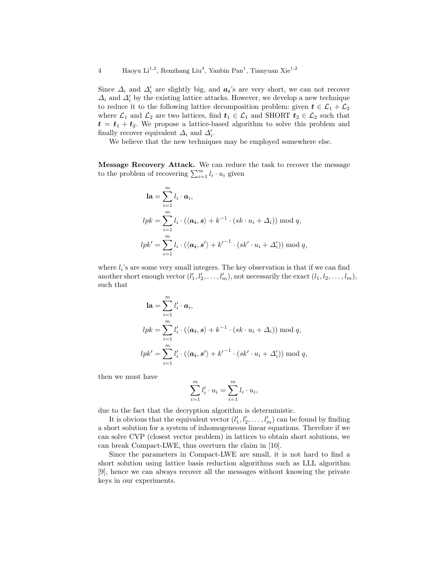Since  $\Delta_i$  and  $\Delta'_i$  are slightly big, and  $a_i$ 's are very short, we can not recover  $\varDelta_i$  and  $\varDelta_i'$  by the existing lattice attacks. However, we develop a new technique to reduce it to the following lattice decomposition problem: given  $t \in \mathcal{L}_1 + \mathcal{L}_2$ where  $\mathcal{L}_1$  and  $\mathcal{L}_2$  are two lattices, find  $t_1 \in \mathcal{L}_1$  and SHORT  $t_2 \in \mathcal{L}_2$  such that  $t = t_1 + t_2$ . We propose a lattice-based algorithm to solve this problem and finally recover equivalent  $\Delta_i$  and  $\Delta'_i$ .

We believe that the new techniques may be employed somewhere else.

Message Recovery Attack. We can reduce the task to recover the message to the problem of recovering  $\sum_{i=1}^{m} l_i \cdot u_i$  given

$$
\mathbf{la} = \sum_{i=1}^{m} l_i \cdot \mathbf{a}_i,
$$
  
\n
$$
lpk = \sum_{i=1}^{m} l_i \cdot (\langle \mathbf{a}_i, \mathbf{s} \rangle + k^{-1} \cdot (sk \cdot u_i + \Delta_i)) \mod q,
$$
  
\n
$$
lpk' = \sum_{i=1}^{m} l_i \cdot (\langle \mathbf{a}_i, \mathbf{s}' \rangle + k'^{-1} \cdot (sk' \cdot u_i + \Delta'_i)) \mod q,
$$

where  $l_i$ 's are some very small integers. The key observation is that if we can find another short enough vector  $(l'_1, l'_2, \ldots, l'_m)$ , not necessarily the exact  $(l_1, l_2, \ldots, l_m)$ , such that

$$
\mathbf{la} = \sum_{i=1}^{m} l'_i \cdot \mathbf{a}_i,
$$
  
\n
$$
lpk = \sum_{i=1}^{m} l'_i \cdot (\langle \mathbf{a}_i, \mathbf{s} \rangle + k^{-1} \cdot (sk \cdot u_i + \Delta_i)) \mod q,
$$
  
\n
$$
lpk' = \sum_{i=1}^{m} l'_i \cdot (\langle \mathbf{a}_i, \mathbf{s}' \rangle + k'^{-1} \cdot (sk' \cdot u_i + \Delta'_i)) \mod q,
$$

then we must have

$$
\sum_{i=1}^{m} l'_i \cdot u_i = \sum_{i=1}^{m} l_i \cdot u_i,
$$

due to the fact that the decryption algorithm is deterministic.

It is obvious that the equivalent vector  $(l'_1, l'_2, \ldots, l'_m)$  can be found by finding a short solution for a system of inhomogeneous linear equations. Therefore if we can solve CVP (closest vector problem) in lattices to obtain short solutions, we can break Compact-LWE, thus overturn the claim in [10].

Since the parameters in Compact-LWE are small, it is not hard to find a short solution using lattice basis reduction algorithms such as LLL algorithm [9], hence we can always recover all the messages without knowing the private keys in our experiments.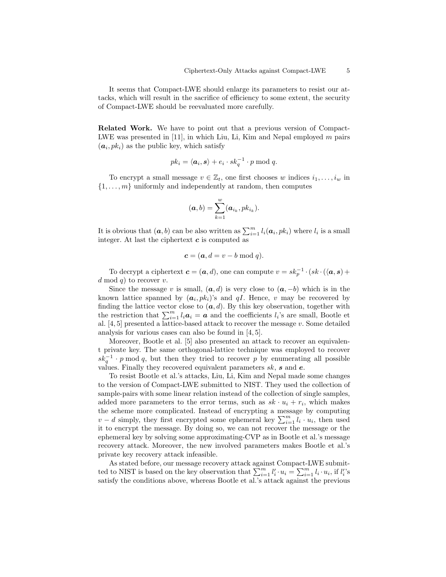It seems that Compact-LWE should enlarge its parameters to resist our attacks, which will result in the sacrifice of efficiency to some extent, the security of Compact-LWE should be reevaluated more carefully.

Related Work. We have to point out that a previous version of Compact-LWE was presented in  $[11]$ , in which Liu, Li, Kim and Nepal employed m pairs  $(a_i, pk_i)$  as the public key, which satisfy

$$
pk_i = \langle \mathbf{a}_i, \mathbf{s} \rangle + e_i \cdot sk_q^{-1} \cdot p \bmod q.
$$

To encrypt a small message  $v \in \mathbb{Z}_t$ , one first chooses w indices  $i_1, \ldots, i_w$  in  $\{1, \ldots, m\}$  uniformly and independently at random, then computes

$$
(\boldsymbol{a},b)=\sum_{k=1}^w(\boldsymbol{a}_{i_k},pk_{i_k}).
$$

It is obvious that  $(a, b)$  can be also written as  $\sum_{i=1}^{m} l_i(a_i, pk_i)$  where  $l_i$  is a small integer. At last the ciphertext  $c$  is computed as

$$
\boldsymbol{c} = (\boldsymbol{a}, d = v - b \bmod q).
$$

To decrypt a ciphertext  $\mathbf{c} = (\mathbf{a}, d)$ , one can compute  $v = sk_p^{-1} \cdot (sk \cdot (\langle \mathbf{a}, \mathbf{s}) +$  $d \mod q$  to recover v.

Since the message v is small,  $(a, d)$  is very close to  $(a, -b)$  which is in the known lattice spanned by  $(a_i, pk_i)$ 's and  $qI$ . Hence, v may be recovered by finding the lattice vector close to  $(a, d)$ . By this key observation, together with the restriction that  $\sum_{i=1}^{m} l_i \mathbf{a}_i = \mathbf{a}$  and the coefficients  $l_i$ 's are small, Bootle et al. [4, 5] presented a lattice-based attack to recover the message v. Some detailed analysis for various cases can also be found in [4, 5].

Moreover, Bootle et al. [5] also presented an attack to recover an equivalent private key. The same orthogonal-lattice technique was employed to recover  $sk_q^{-1} \cdot p \mod q$ , but then they tried to recover p by enumerating all possible values. Finally they recovered equivalent parameters  $sk$ ,  $s$  and  $e$ .

To resist Bootle et al.'s attacks, Liu, Li, Kim and Nepal made some changes to the version of Compact-LWE submitted to NIST. They used the collection of sample-pairs with some linear relation instead of the collection of single samples, added more parameters to the error terms, such as  $sk \cdot u_i + r_i$ , which makes the scheme more complicated. Instead of encrypting a message by computing  $v - d$  simply, they first encrypted some ephemeral key  $\sum_{i=1}^{m} l_i \cdot u_i$ , then used it to encrypt the message. By doing so, we can not recover the message or the ephemeral key by solving some approximating-CVP as in Bootle et al.'s message recovery attack. Moreover, the new involved parameters makes Bootle et al.'s private key recovery attack infeasible.

As stated before, our message recovery attack against Compact-LWE submitted to NIST is based on the key observation that  $\sum_{i=1}^{m} l'_i \cdot u_i = \sum_{i=1}^{m} l_i \cdot u_i$ , if  $l'_i$ 's satisfy the conditions above, whereas Bootle et al.'s attack against the previous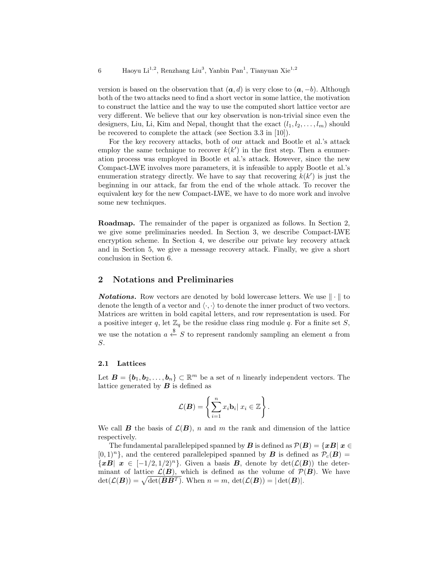version is based on the observation that  $(a, d)$  is very close to  $(a, -b)$ . Although both of the two attacks need to find a short vector in some lattice, the motivation to construct the lattice and the way to use the computed short lattice vector are very different. We believe that our key observation is non-trivial since even the designers, Liu, Li, Kim and Nepal, thought that the exact  $(l_1, l_2, \ldots, l_m)$  should be recovered to complete the attack (see Section 3.3 in [10]).

For the key recovery attacks, both of our attack and Bootle et al.'s attack employ the same technique to recover  $k(k')$  in the first step. Then a enumeration process was employed in Bootle et al.'s attack. However, since the new Compact-LWE involves more parameters, it is infeasible to apply Bootle et al.'s enumeration strategy directly. We have to say that recovering  $k(k')$  is just the beginning in our attack, far from the end of the whole attack. To recover the equivalent key for the new Compact-LWE, we have to do more work and involve some new techniques.

Roadmap. The remainder of the paper is organized as follows. In Section 2, we give some preliminaries needed. In Section 3, we describe Compact-LWE encryption scheme. In Section 4, we describe our private key recovery attack and in Section 5, we give a message recovery attack. Finally, we give a short conclusion in Section 6.

### 2 Notations and Preliminaries

**Notations.** Row vectors are denoted by bold lowercase letters. We use  $\|\cdot\|$  to denote the length of a vector and  $\langle \cdot, \cdot \rangle$  to denote the inner product of two vectors. Matrices are written in bold capital letters, and row representation is used. For a positive integer q, let  $\mathbb{Z}_q$  be the residue class ring module q. For a finite set S, we use the notation  $a \stackrel{\$}{\leftarrow} S$  to represent randomly sampling an element a from S.

### 2.1 Lattices

Let  $\mathbf{B} = {\bf{b}_1, b_2, \ldots, b_n} \subset \mathbb{R}^m$  be a set of n linearly independent vectors. The lattice generated by  $\boldsymbol{B}$  is defined as

$$
\mathcal{L}(\boldsymbol{B}) = \left\{ \sum_{i=1}^n x_i \mathbf{b}_i \vert \ x_i \in \mathbb{Z} \right\}.
$$

We call **B** the basis of  $\mathcal{L}(\mathbf{B})$ , n and m the rank and dimension of the lattice respectively.

The fundamental parallelepiped spanned by B is defined as  $\mathcal{P}(B) = \{xB \mid x \in \mathcal{P}$  $[0,1)^n$ , and the centered parallelepiped spanned by **B** is defined as  $\mathcal{P}_c(\mathbf{B}) =$  $\{xB \mid x \in [-1/2, 1/2)^n\}.$  Given a basis **B**, denote by  $\det(\mathcal{L}(B))$  the determinant of lattice  $\mathcal{L}(\mathbf{B})$ , which is defined as the volume of  $\mathcal{P}(\mathbf{B})$ . We have  $\det(\mathcal{L}(\boldsymbol{B})) = \sqrt{\det(\boldsymbol{B}\boldsymbol{B}^T)}$ . When  $n = m$ ,  $\det(\mathcal{L}(\boldsymbol{B})) = |\det(\boldsymbol{B})|$ .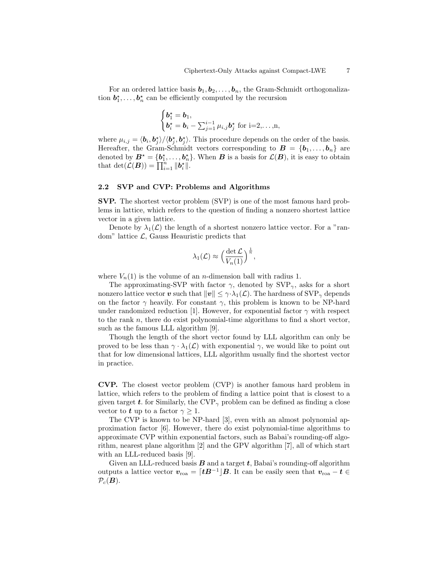For an ordered lattice basis  $b_1, b_2, \ldots, b_n$ , the Gram-Schmidt orthogonalization  $b_1^*, \ldots, b_n^*$  can be efficiently computed by the recursion

$$
\begin{cases}\n\mathbf{b}_1^{\star} = \mathbf{b}_1, \\
\mathbf{b}_i^{\star} = \mathbf{b}_i - \sum_{j=1}^{i-1} \mu_{i,j} \mathbf{b}_j^{\star} \text{ for } i=2,\ldots,n,\n\end{cases}
$$

where  $\mu_{i,j} = \langle \mathbf{b}_i, \mathbf{b}_j^* \rangle / \langle \mathbf{b}_j^*, \mathbf{b}_j^* \rangle$ . This procedure depends on the order of the basis. Hereafter, the Gram-Schmidt vectors corresponding to  $\mathbf{B} = \{\mathbf{b}_1, \ldots, \mathbf{b}_n\}$  are denoted by  $B^* = \{b_1^*, \ldots, b_n^*\}$ . When  $B$  is a basis for  $\mathcal{L}(B)$ , it is easy to obtain that  $\det(\mathcal{L}(\boldsymbol{B})) = \prod_{i=1}^{n} ||\boldsymbol{b}_{i}^{\star}||.$ 

### 2.2 SVP and CVP: Problems and Algorithms

SVP. The shortest vector problem (SVP) is one of the most famous hard problems in lattice, which refers to the question of finding a nonzero shortest lattice vector in a given lattice.

Denote by  $\lambda_1(\mathcal{L})$  the length of a shortest nonzero lattice vector. For a "random" lattice  $\mathcal{L}$ , Gauss Heauristic predicts that

$$
\lambda_1(\mathcal{L}) \approx \left(\frac{\det \mathcal{L}}{V_n(1)}\right)^{\frac{1}{n}},
$$

where  $V_n(1)$  is the volume of an *n*-dimension ball with radius 1.

The approximating-SVP with factor  $\gamma$ , denoted by  $SVP_{\gamma}$ , asks for a short nonzero lattice vector v such that  $||v|| \leq \gamma \cdot \lambda_1(\mathcal{L})$ . The hardness of  $SVP_{\gamma}$  depends on the factor  $\gamma$  heavily. For constant  $\gamma$ , this problem is known to be NP-hard under randomized reduction [1]. However, for exponential factor  $\gamma$  with respect to the rank  $n$ , there do exist polynomial-time algorithms to find a short vector, such as the famous LLL algorithm [9].

Though the length of the short vector found by LLL algorithm can only be proved to be less than  $\gamma \cdot \lambda_1(\mathcal{L})$  with exponential  $\gamma$ , we would like to point out that for low dimensional lattices, LLL algorithm usually find the shortest vector in practice.

CVP. The closest vector problem (CVP) is another famous hard problem in lattice, which refers to the problem of finding a lattice point that is closest to a given target t. for Similarly, the CVP<sub> $\gamma$ </sub> problem can be defined as finding a close vector to **t** up to a factor  $\gamma \geq 1$ .

The CVP is known to be NP-hard [3], even with an almost polynomial approximation factor [6]. However, there do exist polynomial-time algorithms to approximate CVP within exponential factors, such as Babai's rounding-off algorithm, nearest plane algorithm [2] and the GPV algorithm [7], all of which start with an LLL-reduced basis [9].

Given an LLL-reduced basis  $\bm{B}$  and a target  $\bm{t}$ , Babai's rounding-off algorithm outputs a lattice vector  $v_{\text{roa}} = \lceil tB^{-1} \rfloor B$ . It can be easily seen that  $v_{\text{roa}} - t \in$  $\mathcal{P}_c(\mathbf{B})$ .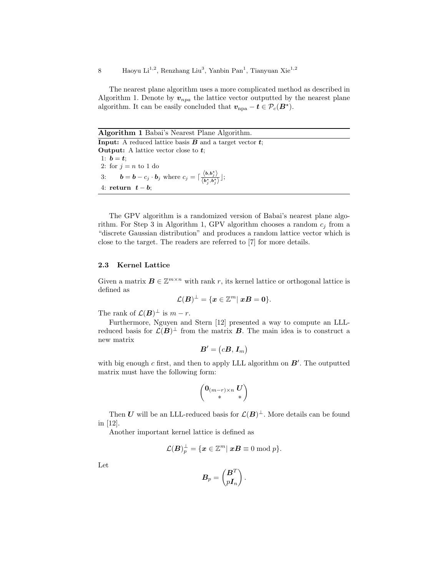The nearest plane algorithm uses a more complicated method as described in Algorithm 1. Denote by  $v_{npa}$  the lattice vector outputted by the nearest plane algorithm. It can be easily concluded that  $v_{\rm npa} - t \in \mathcal{P}_c(B^{\star}).$ 

Algorithm 1 Babai's Nearest Plane Algorithm. **Input:** A reduced lattice basis  $\bf{B}$  and a target vector  $\bf{t}$ ; **Output:** A lattice vector close to  $t$ ; 1:  $b = t$ ; 2: for  $j = n$  to 1 do 3:  $\boldsymbol{b} = \boldsymbol{b} - c_j \cdot \boldsymbol{b}_j$  where  $c_j = \begin{bmatrix} \frac{\langle \boldsymbol{b}, \boldsymbol{b}_j^* \rangle}{\langle \boldsymbol{b}, \boldsymbol{b}_j^* \rangle} \end{bmatrix}$  $\frac{\partial}{\partial s_i}, \frac{\partial}{\partial s_j}, \frac{\partial}{\partial s_j}$ ; 4: return  $t - b$ ;

The GPV algorithm is a randomized version of Babai's nearest plane algorithm. For Step 3 in Algorithm 1, GPV algorithm chooses a random  $c_i$  from a "discrete Gaussian distribution" and produces a random lattice vector which is close to the target. The readers are referred to [7] for more details.

### 2.3 Kernel Lattice

Given a matrix  $\mathbf{B} \in \mathbb{Z}^{m \times n}$  with rank r, its kernel lattice or orthogonal lattice is defined as

$$
\mathcal{L}(\boldsymbol{B})^\perp = \{\boldsymbol{x}\in\mathbb{Z}^m|\ \boldsymbol{x}\boldsymbol{B}=\boldsymbol{0}\}.
$$

The rank of  $\mathcal{L}(\mathbf{B})^{\perp}$  is  $m-r$ .

Furthermore, Nguyen and Stern [12] presented a way to compute an LLLreduced basis for  $\mathcal{L}(B)^{\perp}$  from the matrix **B**. The main idea is to construct a new matrix

$$
\boldsymbol{B}'=\left(c\boldsymbol{B},\boldsymbol{I}_m\right)
$$

with big enough  $c$  first, and then to apply LLL algorithm on  $B'$ . The outputted matrix must have the following form:

$$
\begin{pmatrix} {\bf 0}_{(m-r)\times n} \ U \\ * \end{pmatrix}
$$

Then U will be an LLL-reduced basis for  $\mathcal{L}(\mathbf{B})^{\perp}$ . More details can be found in [12].

Another important kernel lattice is defined as

$$
\mathcal{L}(\boldsymbol{B})_p^\perp = \{\boldsymbol{x}\in\mathbb{Z}^m|\ \boldsymbol{x}\boldsymbol{B}\equiv 0\ \mathrm{mod}\ p\}.
$$

Let

$$
\boldsymbol{B}_p = \begin{pmatrix} \boldsymbol{B}^T \\ p\boldsymbol{I}_n \end{pmatrix}.
$$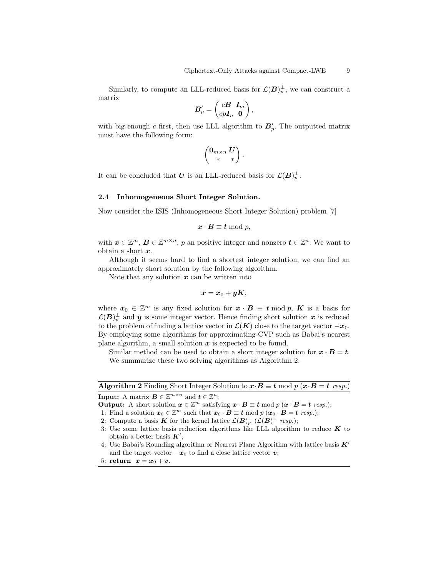Similarly, to compute an LLL-reduced basis for  $\mathcal{L}(\mathbf{B})_p^{\perp}$ , we can construct a matrix

$$
\boldsymbol{B}'_p = \begin{pmatrix} c\boldsymbol{B} & \boldsymbol{I}_m \\ c p\boldsymbol{I}_n & \boldsymbol{0} \end{pmatrix},
$$

with big enough c first, then use LLL algorithm to  $B'_p$ . The outputted matrix must have the following form:

$$
\begin{pmatrix} \mathbf{0}_{m \times n} \ U \\ * \end{pmatrix}.
$$

It can be concluded that U is an LLL-reduced basis for  $\mathcal{L}(\boldsymbol{B})_p^{\perp}$ .

### 2.4 Inhomogeneous Short Integer Solution.

Now consider the ISIS (Inhomogeneous Short Integer Solution) problem [7]

$$
x\cdot B\equiv t\bmod p,
$$

with  $\boldsymbol{x} \in \mathbb{Z}^m$ ,  $\boldsymbol{B} \in \mathbb{Z}^{m \times n}$ , p an positive integer and nonzero  $\boldsymbol{t} \in \mathbb{Z}^n$ . We want to obtain a short  $x$ .

Although it seems hard to find a shortest integer solution, we can find an approximately short solution by the following algorithm.

Note that any solution  $x$  can be written into

$$
x=x_0+yK,
$$

where  $x_0 \in \mathbb{Z}^m$  is any fixed solution for  $x \cdot B \equiv t \mod p$ , K is a basis for  $\mathcal{L}(B)_p^{\perp}$  and  $y$  is some integer vector. Hence finding short solution  $x$  is reduced to the problem of finding a lattice vector in  $\mathcal{L}(K)$  close to the target vector  $-x_0$ . By employing some algorithms for approximating-CVP such as Babai's nearest plane algorithm, a small solution  $x$  is expected to be found.

Similar method can be used to obtain a short integer solution for  $x \cdot B = t$ . We summarize these two solving algorithms as Algorithm 2.

Algorithm 2 Finding Short Integer Solution to  $x \cdot B \equiv t \mod p$  ( $x \cdot B = t \text{ resp.}$ ) **Input:** A matrix  $\mathbf{B} \in \mathbb{Z}^{m \times n}$  and  $\mathbf{t} \in \mathbb{Z}^n$ ;

**Output:** A short solution  $x \in \mathbb{Z}^m$  satisfying  $x \cdot B \equiv t \mod p$   $(x \cdot B = t \text{ resp.});$ 

- 1: Find a solution  $\mathbf{x}_0 \in \mathbb{Z}^m$  such that  $\mathbf{x}_0 \cdot \mathbf{B} \equiv \mathbf{t} \mod p$   $(\mathbf{x}_0 \cdot \mathbf{B} = \mathbf{t} \text{ resp.});$
- 2: Compute a basis **K** for the kernel lattice  $\mathcal{L}(\mathbf{B})_p^{\perp}$  ( $\mathcal{L}(\mathbf{B})^{\perp}$  resp.);

4: Use Babai's Rounding algorithm or Nearest Plane Algorithm with lattice basis  $K'$ and the target vector  $-x_0$  to find a close lattice vector  $v$ ;

5: return 
$$
x = x_0 + v
$$
.

<sup>3:</sup> Use some lattice basis reduction algorithms like LLL algorithm to reduce  $\boldsymbol{K}$  to obtain a better basis  $K'$ ;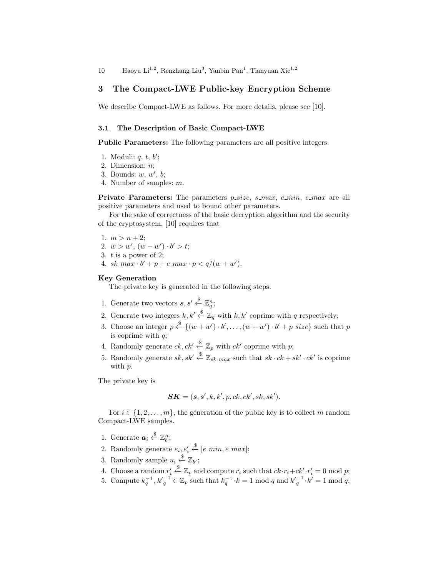# 3 The Compact-LWE Public-key Encryption Scheme

We describe Compact-LWE as follows. For more details, please see [10].

### 3.1 The Description of Basic Compact-LWE

Public Parameters: The following parameters are all positive integers.

- 1. Moduli:  $q, t, b';$
- 2. Dimension: n;
- 3. Bounds:  $w, w', b;$
- 4. Number of samples: m.

**Private Parameters:** The parameters  $p\_size$ ,  $s\_max$ ,  $e\_min$ ,  $e\_max$  are all positive parameters and used to bound other parameters.

For the sake of correctness of the basic decryption algorithm and the security of the cryptosystem, [10] requires that

1.  $m > n + 2$ ; 2.  $w > w'$ ,  $(w - w') \cdot b' > t$ ; 3. t is a power of 2; 4.  $sk\_max \cdot b' + p + e\_max \cdot p < q/(w + w').$ 

### Key Generation

The private key is generated in the following steps.

- 1. Generate two vectors  $s, s' \stackrel{\$}{\leftarrow} \mathbb{Z}_q^n;$
- 2. Generate two integers  $k, k' \stackrel{\$}{\leftarrow} \mathbb{Z}_q$  with  $k, k'$  coprime with q respectively;
- 3. Choose an integer  $p \stackrel{\$}{\leftarrow} \{(w + w') \cdot b', \ldots, (w + w') \cdot b' + p\_size\}$  such that p is coprime with  $q$ ;
- 4. Randomly generate  $ck, ck' \stackrel{\$}{\leftarrow} \mathbb{Z}_p$  with  $ck'$  coprime with p;
- 5. Randomly generate  $sk, sk' \stackrel{\$}{\leftarrow} \mathbb{Z}_{sk\_max}$  such that  $sk \cdot ck + sk' \cdot ck'$  is coprime with p.

The private key is

$$
SK = (s, s', k, k', p, ck, ck', sk, sk').
$$

For  $i \in \{1, 2, \ldots, m\}$ , the generation of the public key is to collect m random Compact-LWE samples.

- 1. Generate  $a_i \overset{\$}{\leftarrow} \mathbb{Z}_b^n$ ;
- 2. Randomly generate  $e_i, e'_i$  $\overset{\$}{\leftarrow}$  [e\_min, e\_max];
- 3. Randomly sample  $u_i \stackrel{\$}{\leftarrow} \mathbb{Z}_{b'}$ ;
- 4. Choose a random  $r_i'$  $\stackrel{\$}{\leftarrow} \mathbb{Z}_p$  and compute  $r_i$  such that  $ck \cdot r_i + ck' \cdot r'_i = 0 \mod p$ ;
- 5. Compute  $k_q^{-1}, k_q^{-1} \in \mathbb{Z}_p$  such that  $k_q^{-1} \cdot k = 1 \mod q$  and  $k_q^{-1} \cdot k' = 1 \mod q$ ;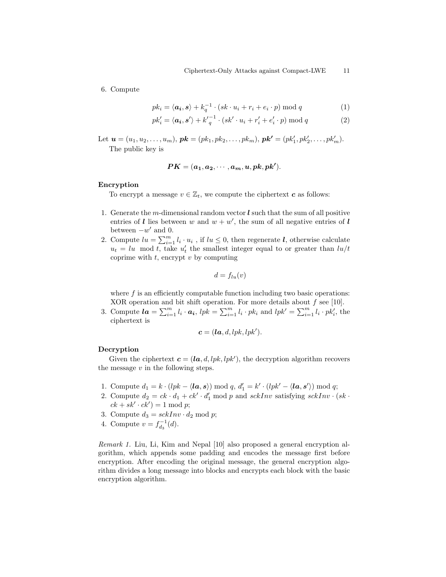6. Compute

$$
pk_i = \langle \mathbf{a_i}, \mathbf{s} \rangle + k_q^{-1} \cdot (sk \cdot u_i + r_i + e_i \cdot p) \bmod q \tag{1}
$$

$$
pk'_{i} = \langle \mathbf{a}_{i}, \mathbf{s}' \rangle + k'_{q}^{-1} \cdot (sk' \cdot u_{i} + r'_{i} + e'_{i} \cdot p) \bmod q \tag{2}
$$

Let  $\mathbf{u} = (u_1, u_2, \dots, u_m)$ ,  $\mathbf{p}\mathbf{k} = (pk_1, pk_2, \dots, pk_m)$ ,  $\mathbf{p}\mathbf{k}' = (pk'_1, pk'_2, \dots, pk'_m)$ . The public key is

$$
PK = (a_1, a_2, \cdots, a_m, u, pk, pk').
$$

### Encryption

To encrypt a message  $v \in \mathbb{Z}_t$ , we compute the ciphertext c as follows:

- 1. Generate the m-dimensional random vector  $\boldsymbol{l}$  such that the sum of all positive entries of l lies between w and  $w + w'$ , the sum of all negative entries of l between  $-w'$  and 0.
- 2. Compute  $lu = \sum_{i=1}^{m} l_i \cdot u_i$ , if  $lu \leq 0$ , then regenerate  $l$ , otherwise calculate  $u_t = lu \mod t$ , take  $u'_t$  the smallest integer equal to or greater than  $lu/t$ coprime with  $t$ , encrypt  $v$  by computing

$$
d = f_{lu}(v)
$$

where  $f$  is an efficiently computable function including two basic operations: XOR operation and bit shift operation. For more details about  $f$  see [10].

3. Compute  $la = \sum_{i=1}^{m} l_i \cdot a_i$ ,  $lpk = \sum_{i=1}^{m} l_i \cdot pk_i$  and  $lpk' = \sum_{i=1}^{m} l_i \cdot pk'_i$ , the ciphertext is

$$
\mathbf{c} = (\mathbf{la}, d, lpk, lpk').
$$

### Decryption

Given the ciphertext  $\mathbf{c} = (\mathbf{la}, d, lpk, lpk')$ , the decryption algorithm recovers the message  $v$  in the following steps.

- 1. Compute  $d_1 = k \cdot (lpk \langle \mathbf{la}, \mathbf{s} \rangle) \bmod q$ ,  $d'_1 = k' \cdot (lpk' \langle \mathbf{la}, \mathbf{s'} \rangle) \bmod q$ ;
- 2. Compute  $d_2 = ck \cdot d_1 + ck' \cdot d'_1 \mod p$  and  $sckInv$  satisfying  $sckInv \cdot (sk \cdot d'_1)$  $ck + sk' \cdot ck' = 1 \mod p;$
- 3. Compute  $d_3 = \operatorname{sckInv} \cdot d_2 \bmod p$ ;
- 4. Compute  $v = f_{d_3}^{-1}(d)$ .

Remark 1. Liu, Li, Kim and Nepal [10] also proposed a general encryption algorithm, which appends some padding and encodes the message first before encryption. After encoding the original message, the general encryption algorithm divides a long message into blocks and encrypts each block with the basic encryption algorithm.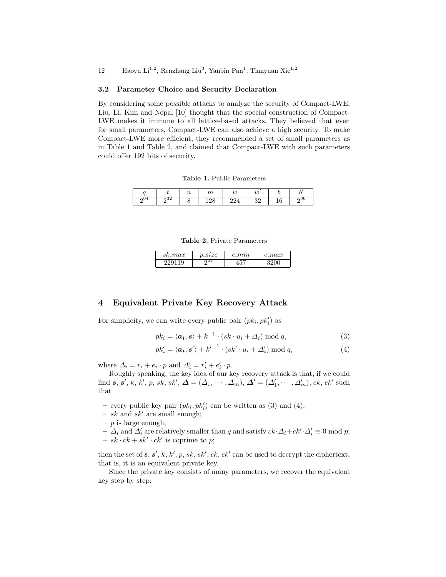### 3.2 Parameter Choice and Security Declaration

By considering some possible attacks to analyze the security of Compact-LWE, Liu, Li, Kim and Nepal [10] thought that the special construction of Compact-LWE makes it immune to all lattice-based attacks. They believed that even for small parameters, Compact-LWE can also achieve a high security. To make Compact-LWE more efficient, they recommended a set of small parameters as in Table 1 and Table 2, and claimed that Compact-LWE with such parameters could offer 192 bits of security.

Table 1. Public Parameters

|  |                 | $_{u}$ | u        |    |
|--|-----------------|--------|----------|----|
|  | $\Omega$<br>--- |        | 00<br>ഄഄ | юı |

Table 2. Private Parameters

| $sk\_max$ | $\_size$ | $e_{m}$ | $e\_max$ |
|-----------|----------|---------|----------|
| 1 Q       | 744      |         |          |

# 4 Equivalent Private Key Recovery Attack

For simplicity, we can write every public pair  $(pk_i, pk'_i)$  as

$$
pk_i = \langle \mathbf{a}_i, \mathbf{s} \rangle + k^{-1} \cdot (sk \cdot u_i + \Delta_i) \bmod q,
$$
\n(3)

$$
pk'_{i} = \langle \mathbf{a}_{i}, \mathbf{s}' \rangle + {k'}^{-1} \cdot (sk' \cdot u_{i} + \Delta'_{i}) \bmod q, \tag{4}
$$

where  $\Delta_i = r_i + e_i \cdot p$  and  $\Delta'_i = r'_i + e'_i \cdot p$ .

Roughly speaking, the key idea of our key recovery attack is that, if we could find  $s, s', k, k', p, sk, sk', \Delta = (\Delta_1, \cdots, \Delta_m), \Delta' = (\Delta'_1, \cdots, \Delta'_m), ck, ck' \text{ such}$ that

- every public key pair  $(pk_i, pk'_i)$  can be written as (3) and (4);
- sk and sk' are small enough;
- $p$  is large enough;
- $\Delta_i$  and  $\Delta'_i$  are relatively smaller than q and satisfy  $ck \cdot \Delta_i + ck' \cdot \Delta'_i \equiv 0 \mod p$ ;
- $sk \cdot ck + sk' \cdot ck'$  is coprime to p;

then the set of  $s, s', k, k', p, sk, sk', ck, ck'$  can be used to decrypt the ciphertext, that is, it is an equivalent private key.

Since the private key consists of many parameters, we recover the equivalent key step by step: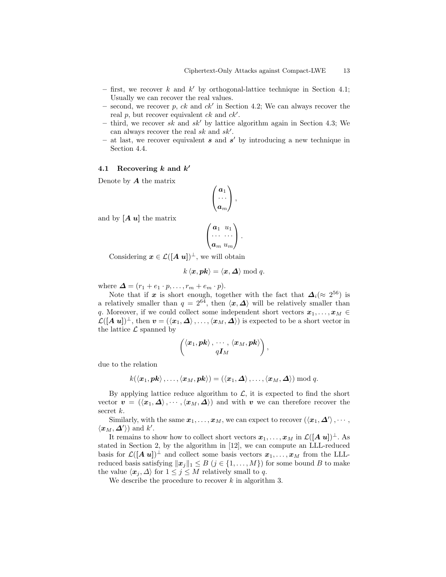- $-$  first, we recover k and k' by orthogonal-lattice technique in Section 4.1; Usually we can recover the real values.
- second, we recover p, ck and  $ck'$  in Section 4.2; We can always recover the real  $p$ , but recover equivalent  $ck$  and  $ck'$ .
- third, we recover sk and sk' by lattice algorithm again in Section 4.3; We can always recover the real  $sk$  and  $sk'$ .
- $-$  at last, we recover equivalent  $s$  and  $s'$  by introducing a new technique in Section 4.4.

# 4.1 Recovering  $k$  and  $k'$

Denote by  $\boldsymbol{A}$  the matrix

$$
\begin{pmatrix} a_1 \\ \cdots \\ a_m \end{pmatrix},
$$

and by  $[A, u]$  the matrix

$$
\begin{pmatrix} a_1 & u_1 \\ \cdots & \cdots \\ a_m & u_m \end{pmatrix}.
$$

Considering  $x \in \mathcal{L}([A \ u])^{\perp}$ , we will obtain

$$
k\langle \boldsymbol{x},\boldsymbol{pk}\rangle = \langle \boldsymbol{x},\boldsymbol{\Delta}\rangle \bmod q.
$$

where  $\Delta = (r_1 + e_1 \cdot p, \ldots, r_m + e_m \cdot p).$ 

Note that if x is short enough, together with the fact that  $\Delta_i (\approx 2^{56})$  is a relatively smaller than  $q = 2^{64}$ , then  $\langle x, \Delta \rangle$  will be relatively smaller than q. Moreover, if we could collect some independent short vectors  $x_1, \ldots, x_M \in$  $\mathcal{L}([A \; u])^{\perp}$ , then  $\boldsymbol{v} = (\langle \boldsymbol{x}_1, \boldsymbol{\Delta} \rangle, \dots, \langle \boldsymbol{x}_M, \boldsymbol{\Delta} \rangle)$  is expected to be a short vector in the lattice  $\mathcal L$  spanned by

$$
\begin{pmatrix} \langle \boldsymbol{x}_1, \boldsymbol{pk} \rangle\,,\,\cdots\,,\,\langle \boldsymbol{x}_M, \boldsymbol{pk} \rangle \\ q\boldsymbol{I}_M \end{pmatrix},
$$

due to the relation

$$
k(\langle \boldsymbol{x}_1, \boldsymbol{pk} \rangle, \ldots, \langle \boldsymbol{x}_M, \boldsymbol{pk} \rangle) = (\langle \boldsymbol{x}_1, \boldsymbol{\Delta} \rangle, \ldots, \langle \boldsymbol{x}_M, \boldsymbol{\Delta} \rangle) \bmod q.
$$

By applying lattice reduce algorithm to  $\mathcal{L}$ , it is expected to find the short vector  $v = (\langle x_1, \Delta \rangle, \cdots, \langle x_M, \Delta \rangle)$  and with v we can therefore recover the secret  $k$ .

Similarly, with the same  $\pmb{x}_1,\ldots,\pmb{x}_M,$  we can expect to recover  $(\langle \pmb{x}_1, \pmb{\Delta'} \rangle, \cdots, \pmb{\Delta'} \rangle)$  $\langle x_M, \Delta' \rangle$  and k'.

It remains to show how to collect short vectors  $x_1, \ldots, x_M$  in  $\mathcal{L}([A \ u])^{\perp}$ . As stated in Section 2, by the algorithm in [12], we can compute an LLL-reduced basis for  $\mathcal{L}([A \ u])^{\perp}$  and collect some basis vectors  $x_1, \ldots, x_M$  from the LLLreduced basis satisfying  $\|\boldsymbol{x}_i\|_1 \leq B$  ( $j \in \{1, ..., M\}$ ) for some bound B to make the value  $\langle x_j, \Delta \rangle$  for  $1 \leq j \leq M$  relatively small to q.

We describe the procedure to recover  $k$  in algorithm 3.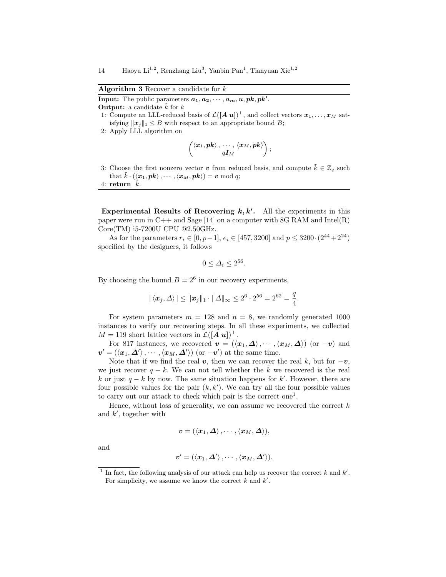Algorithm 3 Recover a candidate for  $k$ 

**Input:** The public parameters  $a_1, a_2, \dots, a_m, u, pk, pk'$ . **Output:** a candidate  $\tilde{k}$  for k

- 1: Compute an LLL-reduced basis of  $\mathcal{L}([A \ u])^{\perp}$ , and collect vectors  $\boldsymbol{x}_1, \ldots, \boldsymbol{x}_M$  satisfying  $\|\boldsymbol{x}_i\|_1 \leq B$  with respect to an appropriate bound B;
- 2: Apply LLL algorithm on

$$
\begin{pmatrix} \langle \boldsymbol{x}_1, \boldsymbol{pk} \rangle\,,\,\cdots\,,\,\langle \boldsymbol{x}_M, \boldsymbol{pk} \rangle \\ q\boldsymbol{I}_M \end{pmatrix};
$$

3: Choose the first nonzero vector v from reduced basis, and compute  $\tilde{k} \in \mathbb{Z}_q$  such that  $\tilde{k} \cdot (\langle x_1, pk \rangle, \cdots, \langle x_M, pk \rangle) = v \bmod q;$ 

4: return  $k$ .

Experimental Results of Recovering  $k, k'$ . All the experiments in this paper were run in  $C++$  and Sage [14] on a computer with 8G RAM and Intel(R) Core(TM) i5-7200U CPU @2.50GHz.

As for the parameters  $r_i \in [0, p-1]$ ,  $e_i \in [457, 3200]$  and  $p \le 3200 \cdot (2^{44} + 2^{24})$ specified by the designers, it follows

$$
0 \le \Delta_i \le 2^{56}.
$$

By choosing the bound  $B = 2^6$  in our recovery experiments,

$$
|\langle x_j, \Delta \rangle| \le ||x_j||_1 \cdot ||\Delta||_{\infty} \le 2^6 \cdot 2^{56} = 2^{62} = \frac{q}{4}.
$$

For system parameters  $m = 128$  and  $n = 8$ , we randomly generated 1000 instances to verify our recovering steps. In all these experiments, we collected  $M = 119$  short lattice vectors in  $\mathcal{L}([A \, u])^{\perp}$ .

For 817 instances, we recovered  $\mathbf{v} = (\langle \mathbf{x}_1, \Delta \rangle, \cdots, \langle \mathbf{x}_M, \Delta \rangle)$  (or  $-\mathbf{v}$ ) and  $v' = (\langle x_1, \Delta' \rangle, \cdots, \langle x_M, \Delta' \rangle)$  (or  $-v'$ ) at the same time.

Note that if we find the real v, then we can recover the real k, but for  $-v$ , we just recover  $q - k$ . We can not tell whether the k we recovered is the real k or just  $q - k$  by now. The same situation happens for k'. However, there are four possible values for the pair  $(k, k')$ . We can try all the four possible values to carry out our attack to check which pair is the correct one<sup>1</sup>.

Hence, without loss of generality, we can assume we recovered the correct  $k$ and  $k'$ , together with

$$
\boldsymbol{v}=(\left\langle \boldsymbol{x}_{1}, \boldsymbol{\varDelta}\right\rangle, \cdots, \left\langle \boldsymbol{x}_{M}, \boldsymbol{\varDelta}\right\rangle),
$$

and

$$
\boldsymbol{v}^{\prime}=(\left\langle \boldsymbol{x}_{1},\boldsymbol{\varDelta}^{\prime}\right\rangle ,\cdots,\left\langle \boldsymbol{x}_{M},\boldsymbol{\varDelta}^{\prime}\right\rangle ).
$$

<sup>&</sup>lt;sup>1</sup> In fact, the following analysis of our attack can help us recover the correct k and  $k'$ . For simplicity, we assume we know the correct  $k$  and  $k'$ .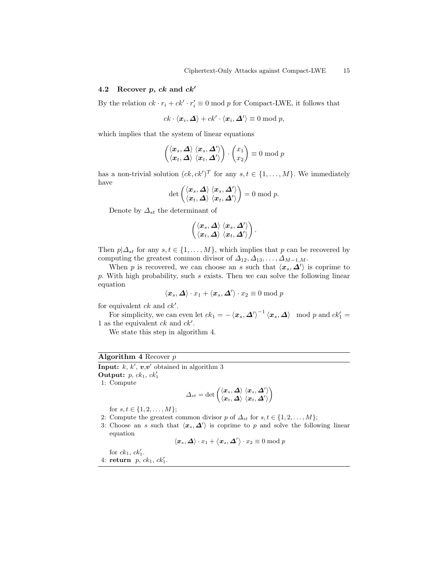### 4.2 Recover p,  $ck$  and  $ck'$

By the relation  $ck \cdot r_i + ck' \cdot r'_i \equiv 0 \mod p$  for Compact-LWE, it follows that

 $ck \cdot \langle x_i, \Delta \rangle + ck' \cdot \langle x_i, \Delta' \rangle \equiv 0 \bmod p,$ 

which implies that the system of linear equations

$$
\begin{pmatrix} \langle x_s, \Delta \rangle & \langle x_s, \Delta' \rangle \\ \langle x_t, \Delta \rangle & \langle x_t, \Delta' \rangle \end{pmatrix} \cdot \begin{pmatrix} x_1 \\ x_2 \end{pmatrix} \equiv 0 \bmod p
$$

has a non-trivial solution  $(ck, ck')^T$  for any  $s, t \in \{1, ..., M\}$ . We immediately have

$$
\det \begin{pmatrix} \langle \bm{x}_s, \bm{\Delta} \rangle \ \langle \bm{x}_s, \bm{\Delta}' \rangle \\ \langle \bm{x}_t, \bm{\Delta} \rangle \ \langle \bm{x}_t, \bm{\Delta}' \rangle \end{pmatrix} = 0 \bmod p.
$$

Denote by  $\varDelta_{st}$  the determinant of

$$
\begin{pmatrix} \langle x_s, \Delta \rangle \; \langle x_s, \Delta' \rangle \\ \langle x_t, \Delta \rangle \; \langle x_t, \Delta' \rangle \end{pmatrix}.
$$

Then  $p|\Delta_{st}$  for any  $s, t \in \{1, ..., M\}$ , which implies that p can be recovered by computing the greatest common divisor of  $\Delta_{12}, \Delta_{13}, \ldots, \Delta_{M-1,M}$ .

When p is recovered, we can choose an s such that  $\langle x_s, \Delta' \rangle$  is coprime to  $p.$  With high probability, such  $s$  exists. Then we can solve the following linear equation

$$
\langle \boldsymbol{x}_s, \boldsymbol{\varDelta} \rangle \cdot x_1 + \langle \boldsymbol{x}_s, \boldsymbol{\varDelta}' \rangle \cdot x_2 \equiv 0 \bmod p
$$

for equivalent  $ck$  and  $ck'$ .

For simplicity, we can even let  $ck_1 = -\langle x_s, \Delta'\rangle^{-1} \langle x_s, \Delta\rangle \mod p$  and  $ck_1' =$ 1 as the equivalent  $ck$  and  $ck'$ .

We state this step in algorithm 4.

# Algorithm 4 Recover  $p$

Input:  $k, k', v, v'$  obtained in algorithm 3 Output:  $p, ck_1, ck'_1$ 

1: Compute

$$
\varDelta_{st}=\det\begin{pmatrix}\langle\boldsymbol{x}_s,\boldsymbol{\varDelta}\rangle\;\langle\boldsymbol{x}_s,\boldsymbol{\varDelta}'\rangle\\\langle\boldsymbol{x}_t,\boldsymbol{\varDelta}\rangle\;\langle\boldsymbol{x}_t,\boldsymbol{\varDelta}'\rangle\end{pmatrix}
$$

for  $s, t \in \{1, 2, ..., M\};$ 

2: Compute the greatest common divisor p of  $\Delta_{st}$  for  $s, t \in \{1, 2, ..., M\};$ 

3: Choose an s such that  $\langle x_s, \Delta' \rangle$  is coprime to p and solve the following linear equation

$$
\langle \boldsymbol{x}_s, \boldsymbol{\varDelta} \rangle \cdot x_1 + \langle \boldsymbol{x}_s, \boldsymbol{\varDelta}' \rangle \cdot x_2 \equiv 0 \bmod p
$$

for  $ck_1$ ,  $ck'_1$ . 4: return  $p, ck_1, ck'_1$ .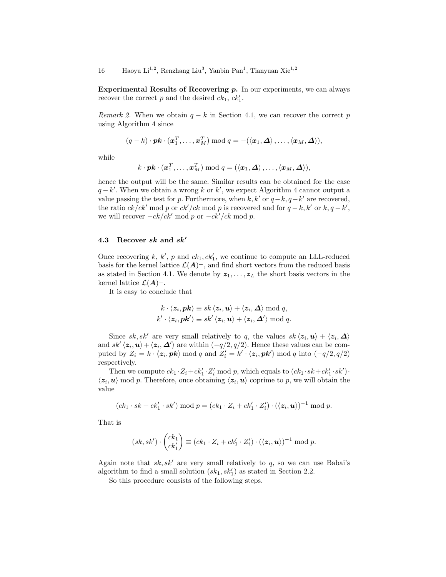Experimental Results of Recovering  $p$ . In our experiments, we can always recover the correct p and the desired  $ck_1, ck'_1$ .

Remark 2. When we obtain  $q - k$  in Section 4.1, we can recover the correct p using Algorithm 4 since

$$
(q-k)\cdot \boldsymbol{pk}\cdot(\boldsymbol{x}_1^T,\ldots,\boldsymbol{x}_M^T)\bmod q=-(\langle \boldsymbol{x}_1,\boldsymbol{\Delta}\rangle,\ldots,\langle \boldsymbol{x}_M,\boldsymbol{\Delta}\rangle),
$$

while

$$
k \cdot \boldsymbol{pk} \cdot (\boldsymbol{x}_1^T, \ldots, \boldsymbol{x}_M^T) \bmod q = (\langle \boldsymbol{x}_1, \boldsymbol{\varDelta} \rangle \, , \ldots, \langle \boldsymbol{x}_M, \boldsymbol{\varDelta} \rangle),
$$

hence the output will be the same. Similar results can be obtained for the case  $q - k'$ . When we obtain a wrong k or k', we expect Algorithm 4 cannot output a value passing the test for p. Furthermore, when  $k, k'$  or  $q-k, q-k'$  are recovered, the ratio  $ck/ck' \mod p$  or  $ck'/ck \mod p$  is recovered and for  $q - k, k'$  or  $k, q - k'$ , we will recover  $-ck/ck' \mod p$  or  $-ck'/ck \mod p$ .

### 4.3 Recover sk and  $sk'$

Once recovering  $k, k', p$  and  $ck_1, ck'_1$ , we continue to compute an LLL-reduced basis for the kernel lattice  $\mathcal{L}(\mathbf{A})^{\perp}$ , and find short vectors from the reduced basis as stated in Section 4.1. We denote by  $z_1, \ldots, z_L$  the short basis vectors in the kernel lattice  $\mathcal{L}(\boldsymbol{A})^{\perp}$ .

It is easy to conclude that

$$
k \cdot \langle z_i, \mathbf{p} \mathbf{k} \rangle \equiv sk \langle z_i, \mathbf{u} \rangle + \langle z_i, \mathbf{\Delta} \rangle \bmod q,
$$
  

$$
k' \cdot \langle z_i, \mathbf{p} \mathbf{k}' \rangle \equiv sk' \langle z_i, \mathbf{u} \rangle + \langle z_i, \mathbf{\Delta}' \rangle \bmod q.
$$

Since sk, sk' are very small relatively to q, the values  $sk \langle z_i, u \rangle + \langle z_i, \Delta \rangle$ and  $sk'\langle z_i, u \rangle + \langle z_i, \Delta' \rangle$  are within  $(-q/2, q/2)$ . Hence these values can be computed by  $Z_i = k \cdot \langle z_i, pk \rangle \mod q$  and  $Z'_i = k' \cdot \langle z_i, pk' \rangle \mod q$  into  $(-q/2, q/2)$ respectively.

Then we compute  $ck_1 \cdot Z_i + ck'_1 \cdot Z'_i \text{ mod } p$ , which equals to  $(ck_1 \cdot sk + ck'_1 \cdot sk') \cdot$  $\langle z_i, u \rangle$  mod p. Therefore, once obtaining  $\langle z_i, u \rangle$  coprime to p, we will obtain the value

$$
(ck_1 \cdot sk + ck'_1 \cdot sk') \bmod p = (ck_1 \cdot Z_i + ck'_1 \cdot Z'_i) \cdot (\langle \mathbf{z}_i, \mathbf{u} \rangle)^{-1} \bmod p.
$$

That is

$$
(sk, sk') \cdot \begin{pmatrix} ck_1 \\ ck'_1 \end{pmatrix} \equiv (ck_1 \cdot Z_i + ck'_1 \cdot Z'_i) \cdot (\langle \mathbf{z}_i, \mathbf{u} \rangle)^{-1} \bmod p.
$$

Again note that  $sk, sk'$  are very small relatively to q, so we can use Babai's algorithm to find a small solution  $(sk_1, sk'_1)$  as stated in Section 2.2.

So this procedure consists of the following steps.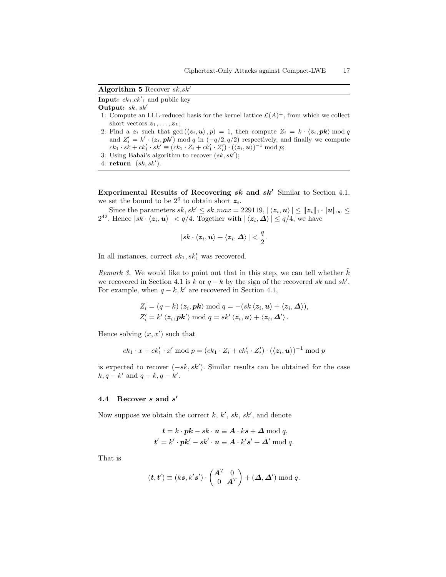Algorithm 5 Recover  $sk, sk'$ 

**Input:**  $ck_1, ck'_1$  and public key

Output:  $sk, sk'$ 

- 1: Compute an LLL-reduced basis for the kernel lattice  $\mathcal{L}(A)^{\perp}$ , from which we collect short vectors  $z_1, \ldots, z_L$ ;
- 2: Find a  $z_i$  such that  $gcd(\langle z_i, u \rangle, p) = 1$ , then compute  $Z_i = k \cdot \langle z_i, pk \rangle \mod q$ and  $Z_i' = k' \cdot \langle z_i, pk' \rangle \mod q$  in  $(-q/2, q/2)$  respectively, and finally we compute  $ck_1\cdot sk+ck_1'\cdot sk'\equiv (ck_1\cdot Z_i+ck_1'\cdot Z_i')\cdot (\langle {\boldsymbol z}_i,{\boldsymbol u}\rangle)^{-1}\bmod p;$
- 3: Using Babai's algorithm to recover  $(sk, sk')$ ;

Experimental Results of Recovering  $sk$  and  $sk'$  Similar to Section 4.1, we set the bound to be  $2^6$  to obtain short  $z_i$ .

Since the parameters  $sk, sk' \leq sk\_max = 229119, | \langle z_i, u \rangle | \leq ||z_i||_1 \cdot ||u||_{\infty} \leq$  $2^{42}$ . Hence  $|sk \cdot \langle z_i, u \rangle| < q/4$ . Together with  $|\langle z_i, \Delta \rangle| \leq q/4$ , we have

$$
|sk\cdot \langle \boldsymbol{z}_i, \boldsymbol{u}\rangle + \langle \boldsymbol{z}_i, \boldsymbol{\Delta}\rangle| < \frac{q}{2}.
$$

In all instances, correct  $sk_1, sk'_1$  was recovered.

Remark 3. We would like to point out that in this step, we can tell whether  $k$ we recovered in Section 4.1 is k or  $q - k$  by the sign of the recovered sk and sk'. For example, when  $q - k$ , k' are recovered in Section 4.1,

$$
Z_i = (q - k) \langle z_i, \mathbf{pk} \rangle \bmod q = -(sk \langle z_i, \mathbf{u} \rangle + \langle z_i, \mathbf{\Delta} \rangle),
$$
  

$$
Z'_i = k' \langle z_i, \mathbf{pk'} \rangle \bmod q = sk' \langle z_i, \mathbf{u} \rangle + \langle z_i, \mathbf{\Delta'} \rangle.
$$

Hence solving  $(x, x')$  such that

$$
ck_1 \cdot x + ck'_1 \cdot x' \bmod p = (ck_1 \cdot Z_i + ck'_1 \cdot Z'_i) \cdot (\langle \mathbf{z}_i, \mathbf{u} \rangle)^{-1} \bmod p
$$

is expected to recover  $(-sk, sk')$ . Similar results can be obtained for the case  $k, q - k'$  and  $q - k, q - k'$ .

# 4.4 Recover  $s$  and  $s'$

Now suppose we obtain the correct  $k, k', sk, sk'$ , and denote

$$
t = k \cdot pk - sk \cdot u \equiv A \cdot ks + \Delta \mod q,
$$
  

$$
t' = k' \cdot pk' - sk' \cdot u \equiv A \cdot k's' + \Delta' \mod q.
$$

That is

$$
(\boldsymbol{t},\boldsymbol{t}')\equiv (ks,k's')\cdot\begin{pmatrix}\boldsymbol{A}^T&0\\0&\boldsymbol{A}^T\end{pmatrix}+(\boldsymbol{\Delta},\boldsymbol{\Delta}') \bmod q.
$$

<sup>4:</sup> return  $(sk, sk').$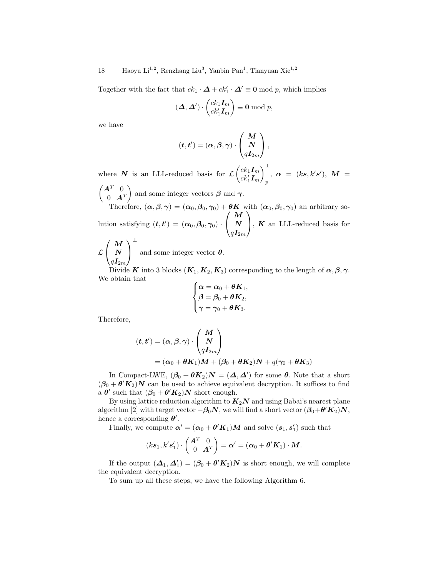Together with the fact that  $ck_1 \cdot \mathbf{\Delta} + ck'_1 \cdot \mathbf{\Delta}' \equiv \mathbf{0} \mod p$ , which implies

$$
(\mathbf{\Delta}, \mathbf{\Delta}') \cdot \begin{pmatrix} ck_1 \mathbf{I}_m \\ ck'_1 \mathbf{I}_m \end{pmatrix} \equiv \mathbf{0} \bmod p,
$$

we have

$$
(\boldsymbol{t},\boldsymbol{t}')=(\boldsymbol{\alpha},\boldsymbol{\beta},\boldsymbol{\gamma})\cdot\left(\begin{matrix} \boldsymbol{M} \\ \boldsymbol{N} \\ q\boldsymbol{I}_{2m} \end{matrix}\right),
$$

where N is an LLL-reduced basis for  $\mathcal{L}\left(\begin{array}{c}ck_1\mathbf{I}_m\\ \vdots\\ \mathbf{I}^L\end{array}\right)$  $ck'_1I_m$ <sup>⊥</sup> p  $\alpha = (ks, k's'), M =$  $(A^T \t0$  $0 \quad \mathbf{A}^T$ ) and some integer vectors  $\beta$  and  $\gamma$ .

Therefore,  $(\alpha, \beta, \gamma) = (\alpha_0, \beta_0, \gamma_0) + \theta K$  with  $(\alpha_0, \beta_0, \gamma_0)$  an arbitrary solution satisfying  $(t, t') = (\alpha_0, \beta_0, \gamma_0)$ .  $\sqrt{ }$  $\mathcal{L}$ M N  $q\bm{I}_{2m}$  $\setminus$  $\left| \right|$ , **K** an LLL-reduced basis for ⊥

 $\mathcal{L}$  $\sqrt{ }$  $\mathcal{L}$ M N  $q\bm{I}_{2m}$  $\setminus$ and some integer vector  $\theta$ .

Divide K into 3 blocks  $(K_1, K_2, K_3)$  corresponding to the length of  $\alpha, \beta, \gamma$ . We obtain that

$$
\begin{cases} \boldsymbol{\alpha}=\boldsymbol{\alpha}_0+\boldsymbol{\theta} \boldsymbol{K}_1, \\ \boldsymbol{\beta}=\boldsymbol{\beta}_0+\boldsymbol{\theta} \boldsymbol{K}_2, \\ \boldsymbol{\gamma}=\boldsymbol{\gamma}_0+\boldsymbol{\theta} \boldsymbol{K}_3. \end{cases}
$$

Therefore,

$$
(t, t') = (\alpha, \beta, \gamma) \cdot \begin{pmatrix} M \\ N \\ qI_{2m} \end{pmatrix}
$$
  
=  $(\alpha_0 + \theta K_1)M + (\beta_0 + \theta K_2)N + q(\gamma_0 + \theta K_3)$ 

In Compact-LWE,  $(\beta_0 + \theta K_2)N = (\Delta, \Delta')$  for some  $\theta$ . Note that a short  $(\beta_0 + \theta' K_2)N$  can be used to achieve equivalent decryption. It suffices to find a  $\theta'$  such that  $(\beta_0 + \theta' K_2)N$  short enough.

By using lattice reduction algorithm to  $K_2N$  and using Babai's nearest plane algorithm [2] with target vector  $-\beta_0 N$ , we will find a short vector  $(\beta_0 + \theta' K_2) N$ , hence a corresponding  $\theta'$ .

Finally, we compute  $\boldsymbol{\alpha}' = (\boldsymbol{\alpha}_0 + \boldsymbol{\theta}' \boldsymbol{K}_1) \boldsymbol{M}$  and solve  $(\boldsymbol{s}_1, \boldsymbol{s}'_1)$  such that

$$
(ks_1, k's'_1) \cdot \begin{pmatrix} \mathbf{A}^T & 0 \\ 0 & \mathbf{A}^T \end{pmatrix} = \boldsymbol{\alpha}' = (\boldsymbol{\alpha}_0 + \boldsymbol{\theta}' \mathbf{K}_1) \cdot \mathbf{M}.
$$

If the output  $(\mathbf{\Delta}_1, \mathbf{\Delta}_1') = (\beta_0 + \theta' \mathbf{K}_2) \mathbf{N}$  is short enough, we will complete the equivalent decryption.

To sum up all these steps, we have the following Algorithm 6.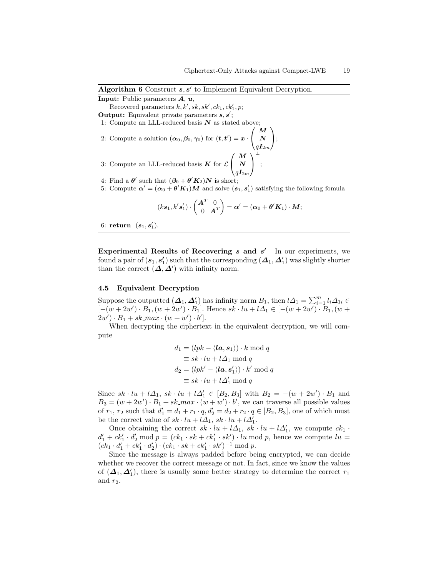;

**Input:** Public parameters  $A, u$ ,

Recovered parameters  $k, k', sk, sk', ck_1, ck'_1, p;$ 

- Output: Equivalent private parameters  $s, s'$ ;
- 1: Compute an LLL-reduced basis  $N$  as stated above;  $\sqrt{ }$
- 2: Compute a solution  $(\boldsymbol{\alpha}_0, \boldsymbol{\beta}_0, \boldsymbol{\gamma}_0)$  for  $(\boldsymbol{t}, \boldsymbol{t}') = \boldsymbol{x}$ .  $\mathcal{L}$ M N  $q\boldsymbol{I}_{2m}$  $\setminus$  $\vert$  $\sqrt{ }$ M  $\setminus$ ⊥

3: Compute an LLL-reduced basis  $K$  for  $\mathcal L$  $\mathcal{L}$ N  $q\bm{I}_{2m}$  $\overline{1}$ 

- 4: Find a  $\boldsymbol{\theta}'$  such that  $(\boldsymbol{\beta}_0 + \boldsymbol{\theta}' \boldsymbol{K}_2) \boldsymbol{N}$  is short;  $\prime$
- 5: Compute  $\alpha' = (\alpha_0 + \theta' K_1)M$  and solve  $(s_1, s_1')$  satisfying the following fomula

$$
(ks_1, k's'_1) \cdot \begin{pmatrix} \mathbf{A}^T & 0 \\ 0 & \mathbf{A}^T \end{pmatrix} = \boldsymbol{\alpha}' = (\boldsymbol{\alpha}_0 + \boldsymbol{\theta}' \mathbf{K}_1) \cdot \mathbf{M};
$$

6: return  $(s_1, s'_1)$ .

Experimental Results of Recovering  $s$  and  $s'$  In our experiments, we found a pair of  $(\bm{s}_1, \bm{s}'_1)$  such that the corresponding  $(\bm{\varDelta}_1, \bm{\varDelta}'_1)$  was slightly shorter than the correct  $(\Delta, \Delta')$  with infinity norm.

### 4.5 Equivalent Decryption

Suppose the outputted  $($  $\Delta_1$ ,  $\Delta'_1$ ) has infinity norm  $B_1$ , then  $l\Delta_1 = \sum_{i=1}^m l_i\Delta_{1i}$  $[-(w+2w') \cdot B_1, (w+2w') \cdot B_1]$ . Hence  $sk \cdot lu + l\Delta_1 \in [-(w+2w') \cdot B_1, (w+2w') \cdot B_1]$  $2w' \cdot B_1 + sk\_max \cdot (w + w') \cdot b'$ .

When decrypting the ciphertext in the equivalent decryption, we will compute

$$
d_1 = (lpk - \langle \mathbf{la}, \mathbf{s}_1 \rangle) \cdot k \mod q
$$
  
\n
$$
\equiv sk \cdot lu + l\Delta_1 \mod q
$$
  
\n
$$
d_2 = (lpk' - \langle \mathbf{la}, \mathbf{s}'_1 \rangle) \cdot k' \mod q
$$
  
\n
$$
\equiv sk \cdot lu + l\Delta'_1 \mod q
$$

Since  $sk \cdot lu + l\Delta_1$ ,  $sk \cdot lu + l\Delta'_1 \in [B_2, B_3]$  with  $B_2 = -(w + 2w') \cdot B_1$  and  $B_3 = (w + 2w') \cdot B_1 + sk\_max \cdot (w + w') \cdot b'$ , we can traverse all possible values of  $r_1$ ,  $r_2$  such that  $d'_1 = d_1 + r_1 \cdot q$ ,  $d'_2 = d_2 + r_2 \cdot q \in [B_2, B_3]$ , one of which must be the correct value of  $sk \cdot lu + l\Delta_1$ ,  $sk \cdot lu + l\Delta'_1$ .

Once obtaining the correct  $sk \cdot lu + l\Delta_1$ ,  $sk \cdot lu + l\Delta'_1$ , we compute  $ck_1 \cdot$  $d'_1 + ck'_1 \cdot d'_2 \mod p = (ck_1 \cdot sk + ck'_1 \cdot sk') \cdot lu \mod p$ , hence we compute  $lu =$  $(ck_1 \cdot d_1' + ck_1' \cdot d_2') \cdot (ck_1 \cdot sk + ck_1' \cdot sk')^{-1} \mod p.$ 

Since the message is always padded before being encrypted, we can decide whether we recover the correct message or not. In fact, since we know the values of  $(\mathbf{\Delta}_1, \mathbf{\Delta}'_1)$ , there is usually some better strategy to determine the correct  $r_1$ and  $r_2$ .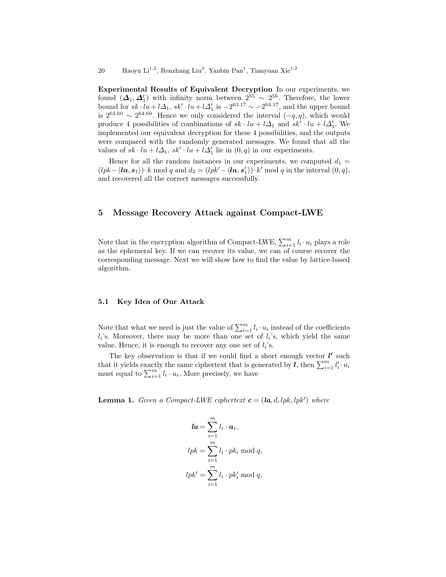Experimental Results of Equivalent Decryption In our experiments, we found  $({\bf \Delta}_1, {\bf \Delta}_1')$  with infinity norm between  $2^{55} \sim 2^{56}$ . Therefore, the lower bound for  $sk \cdot lu + l\Delta_1$ ,  $sk' \cdot lu + l\Delta_1'$  is  $-2^{63.17} \sim -2^{64.17}$ , and the upper bound bound for  $s \cdot (a + i\Delta_1, s \cdot (a + i\Delta_1))$  is  $-2 \leq s \leq -2$ , and the upper bound<br>is  $2^{63.60} \sim 2^{64.60}$ . Hence we only considered the interval  $(-q, q)$ , which would produce 4 possibilities of combinations of  $sk \cdot lu + l\Delta_1$  and  $sk' \cdot lu + l\Delta_1'$ . We implemented our equivalent decryption for these 4 possibilities, and the outputs were compared with the randomly generated messages. We found that all the values of  $sk \cdot lu + l\Delta_1$ ,  $sk' \cdot lu + l\Delta_1'$  lie in  $(0, q)$  in our experiments.

Hence for all the random instances in our experiments, we computed  $d_1 =$  $(lpk - \langle \mathbf{la}, \mathbf{s}_1 \rangle) \cdot k \mod q$  and  $d_2 = (lpk' - \langle \mathbf{la}, \mathbf{s}'_1 \rangle) \cdot k' \mod q$  in the interval  $(0, q)$ , and recovered all the correct messages successfully.

# 5 Message Recovery Attack against Compact-LWE

Note that in the encryption algorithm of Compact-LWE,  $\sum_{i=1}^{m} l_i \cdot u_i$  plays a role as the ephemeral key. If we can recover its value, we can of course recover the corresponding message. Next we will show how to find the value by lattice-based algorithm.

### 5.1 Key Idea of Our Attack

Note that what we need is just the value of  $\sum_{i=1}^{m} l_i \cdot u_i$  instead of the coefficients  $l_i$ 's. Moreover, there may be more than one set of  $l_i$ 's, which yield the same value. Hence, it is enough to recover any one set of  $l_i$ 's.

The key observation is that if we could find a short enough vector  $l'$  such that it yields exactly the same ciphertext that is generated by  $\vec{l}$ , then  $\sum_{i=1}^{m} l'_i \cdot u_i$ must equal to  $\sum_{i=1}^{m} l_i \cdot u_i$ . More precisely, we have

**Lemma 1.** Given a Compact-LWE ciphertext  $\mathbf{c} = (\mathbf{la}, d, lpk, lpk')$  where

$$
la = \sum_{i=1}^{m} l_i \cdot a_i,
$$
  
\n
$$
lpk = \sum_{i=1}^{m} l_i \cdot pk_i \mod q,
$$
  
\n
$$
lpk' = \sum_{i=1}^{m} l_i \cdot pk'_i \mod q,
$$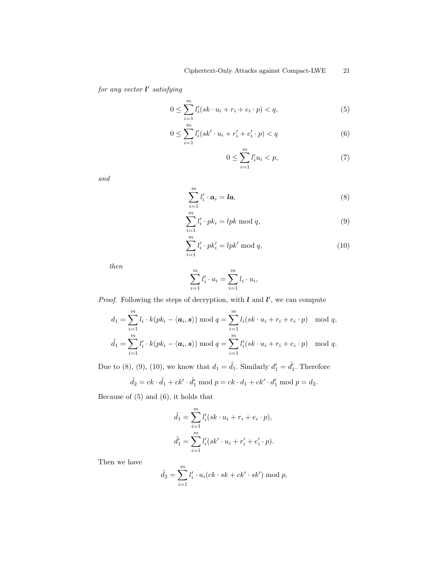for any vector  $l'$  satisfying

$$
0 \le \sum_{i=1}^{m} l'_i (sk \cdot u_i + r_i + e_i \cdot p) < q,\tag{5}
$$

$$
0 \le \sum_{i=1}^{m} l'_i (sk' \cdot u_i + r'_i + e'_i \cdot p) < q \tag{6}
$$

$$
0 \le \sum_{i=1}^{m} l_i' u_i < p,\tag{7}
$$

and

$$
\sum_{i=1}^{m} l'_i \cdot \mathbf{a}_i = \mathbf{la}, \tag{8}
$$

$$
\sum_{i=1}^{m} l'_i \cdot pk_i = lpk \mod q,\tag{9}
$$

$$
\sum_{i=1}^{m} l'_i \cdot pk'_i = lpk' \mod q,
$$
\n(10)

then

$$
\sum_{i=1}^{m} l'_i \cdot u_i = \sum_{i=1}^{m} l_i \cdot u_i,
$$

*Proof.* Following the steps of decryption, with  $l$  and  $l'$ , we can compute

$$
d_1 = \sum_{i=1}^m l_i \cdot k(pk_i - \langle \mathbf{a}_i, \mathbf{s} \rangle) \bmod q = \sum_{i=1}^m l_i (sk \cdot u_i + r_i + e_i \cdot p) \mod q,
$$
  

$$
\tilde{d}_1 = \sum_{i=1}^m l'_i \cdot k(pk_i - \langle \mathbf{a}_i, \mathbf{s} \rangle) \bmod q = \sum_{i=1}^m l'_i (sk \cdot u_i + r_i + e_i \cdot p) \mod q.
$$

Due to (8), (9), (10), we know that  $d_1 = \tilde{d_1}$ . Similarly  $d'_1 = \tilde{d'_1}$ . Therefore

$$
\tilde{d}_2 = ck \cdot \tilde{d}_1 + ck' \cdot \tilde{d}'_1 \bmod p = ck \cdot d_1 + ck' \cdot d'_1 \bmod p = d_2.
$$

Because of (5) and (6), it holds that

$$
\tilde{d}_1 = \sum_{i=1}^m l'_i (sk \cdot u_i + r_i + e_i \cdot p), \n\tilde{d}'_1 = \sum_{i=1}^m l'_i (sk' \cdot u_i + r'_i + e'_i \cdot p).
$$

Then we have

$$
\tilde{d}_2 = \sum_{i=1}^m l'_i \cdot u_i(ck \cdot sk + ck' \cdot sk') \mod p,
$$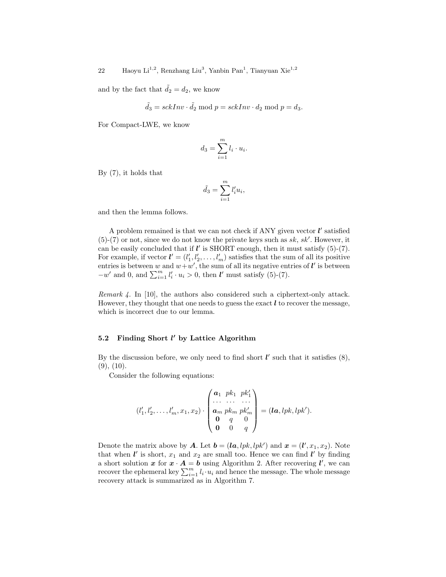and by the fact that  $\ddot{d}_2 = d_2$ , we know

$$
\tilde{d}_3 = sckInv \cdot \tilde{d}_2 \bmod p = sckInv \cdot d_2 \bmod p = d_3.
$$

For Compact-LWE, we know

$$
d_3 = \sum_{i=1}^m l_i \cdot u_i.
$$

By (7), it holds that

$$
\tilde{d}_3 = \sum_{i=1}^m l'_i u_i,
$$

and then the lemma follows.

A problem remained is that we can not check if ANY given vector  $l'$  satisfied  $(5)-(7)$  or not, since we do not know the private keys such as sk, sk'. However, it can be easily concluded that if  $\mathbf{l}'$  is SHORT enough, then it must satisfy (5)-(7). For example, if vector  $\mathbf{l}' = (l'_1, l'_2, \dots, l'_m)$  satisfies that the sum of all its positive entries is between w and  $w+w'$ , the sum of all its negative entries of  $\mathbf{l}'$  is between  $-w'$  and 0, and  $\sum_{i=1}^{m} l'_i \cdot u_i > 0$ , then  $l'$  must satisfy (5)-(7).

Remark 4. In [10], the authors also considered such a ciphertext-only attack. However, they thought that one needs to guess the exact  $\ell$  to recover the message, which is incorrect due to our lemma.

# 5.2 Finding Short  $l'$  by Lattice Algorithm

By the discussion before, we only need to find short  $l'$  such that it satisfies  $(8)$ ,  $(9)$ ,  $(10)$ .

Consider the following equations:

$$
(l'_1, l'_2, \ldots, l'_m, x_1, x_2) \cdot \begin{pmatrix} a_1 & p k_1 & p k'_1 \\ \cdots & \cdots & \cdots \\ a_m & p k_m & p k'_m \\ 0 & q & 0 \\ 0 & 0 & q \end{pmatrix} = (\mathbf{I} \mathbf{a}, \mathbf{I} p k, \mathbf{I} p k').
$$

Denote the matrix above by **A**. Let  $\mathbf{b} = (\mathbf{la}, lpk, lpk')$  and  $\mathbf{x} = (\mathbf{l}', x_1, x_2)$ . Note that when  $\mathbf{l}'$  is short,  $x_1$  and  $x_2$  are small too. Hence we can find  $\mathbf{l}'$  by finding a short solution x for  $x \cdot A = b$  using Algorithm 2. After recovering  $l'$ , we can recover the ephemeral key  $\sum_{i=1}^{m} l_i \cdot u_i$  and hence the message. The whole message recovery attack is summarized as in Algorithm 7.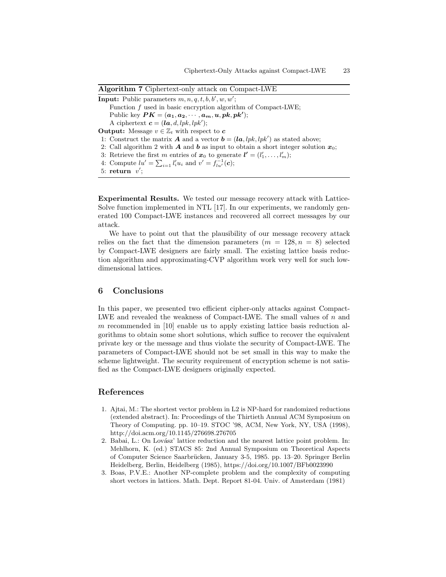|  |  |  | Algorithm 7 Ciphertext-only attack on Compact-LWE |  |
|--|--|--|---------------------------------------------------|--|
|  |  |  |                                                   |  |

**Input:** Public parameters  $m, n, q, t, b, b', w, w'$ ; Function f used in basic encryption algorithm of Compact-LWE; Public key  $\boldsymbol{PK}=(\boldsymbol{a_1},\boldsymbol{a_2},\cdots,\boldsymbol{a_m},\boldsymbol{u},\boldsymbol{pk},\boldsymbol{pk'});$ A ciphertext  $\mathbf{c} = (\mathbf{la}, d, lpk, lpk')$ ; **Output:** Message  $v \in \mathbb{Z}_t$  with respect to **c** 1: Construct the matrix **A** and a vector  $\mathbf{b} = (\mathbf{la}, lpk, lpk')$  as stated above; 2: Call algorithm 2 with **A** and **b** as input to obtain a short integer solution  $x_0$ ; 3: Retrieve the first m entries of  $x_0$  to generate  $\mathbf{l}' = (l'_1, \ldots, l'_m);$ 4: Compute  $lu' = \sum_{i=1} l'_i u_i$  and  $v' = f_{lu'}^{-1}(c)$ ; 5: return  $v'$ ;

Experimental Results. We tested our message recovery attack with Lattice-Solve function implemented in NTL [17]. In our experiments, we randomly generated 100 Compact-LWE instances and recovered all correct messages by our attack.

We have to point out that the plausibility of our message recovery attack relies on the fact that the dimension parameters  $(m = 128, n = 8)$  selected by Compact-LWE designers are fairly small. The existing lattice basis reduction algorithm and approximating-CVP algorithm work very well for such lowdimensional lattices.

# 6 Conclusions

In this paper, we presented two efficient cipher-only attacks against Compact-LWE and revealed the weakness of Compact-LWE. The small values of  $n$  and m recommended in [10] enable us to apply existing lattice basis reduction algorithms to obtain some short solutions, which suffice to recover the equivalent private key or the message and thus violate the security of Compact-LWE. The parameters of Compact-LWE should not be set small in this way to make the scheme lightweight. The security requirement of encryption scheme is not satisfied as the Compact-LWE designers originally expected.

# References

- 1. Ajtai, M.: The shortest vector problem in L2 is NP-hard for randomized reductions (extended abstract). In: Proceedings of the Thirtieth Annual ACM Symposium on Theory of Computing. pp. 10–19. STOC '98, ACM, New York, NY, USA (1998), http://doi.acm.org/10.1145/276698.276705
- 2. Babai, L.: On Lovász' lattice reduction and the nearest lattice point problem. In: Mehlhorn, K. (ed.) STACS 85: 2nd Annual Symposium on Theoretical Aspects of Computer Science Saarbrücken, January 3-5, 1985. pp. 13–20. Springer Berlin Heidelberg, Berlin, Heidelberg (1985), https://doi.org/10.1007/BFb0023990
- 3. Boas, P.V.E.: Another NP-complete problem and the complexity of computing short vectors in lattices. Math. Dept. Report 81-04. Univ. of Amsterdam (1981)